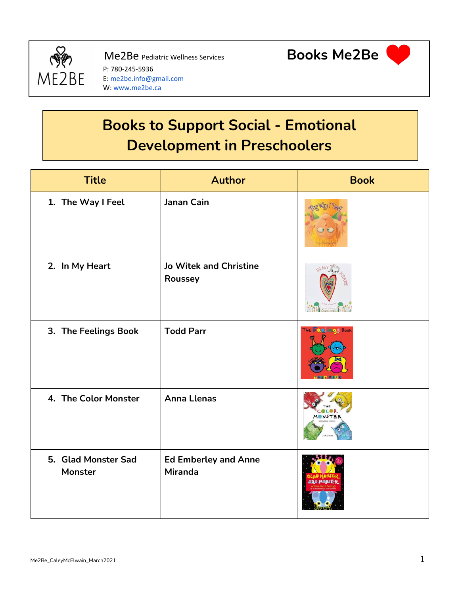

P: 780-245-5936 E: [me2be.info@gmail.com](mailto:me2be.info@gmail.com) W: [www.me2be.ca](http://www.me2be.ca/)



## **Books to Support Social - Emotional Development in Preschoolers**

| <b>Title</b>                   | <b>Author</b>                                 | <b>Book</b>                            |
|--------------------------------|-----------------------------------------------|----------------------------------------|
| 1. The Way I Feel              | <b>Janan Cain</b>                             |                                        |
| 2. In My Heart                 | <b>Jo Witek and Christine</b><br>Roussey      | (M M)<br><b>THE COMMON COMPOSITION</b> |
| 3. The Feelings Book           | <b>Todd Parr</b>                              | The <b>Feelings</b> Book               |
| 4. The Color Monster           | <b>Anna Llenas</b>                            | MONSTER                                |
| 5. Glad Monster Sad<br>Monster | <b>Ed Emberley and Anne</b><br><b>Miranda</b> | <b>SAD MONSTER</b>                     |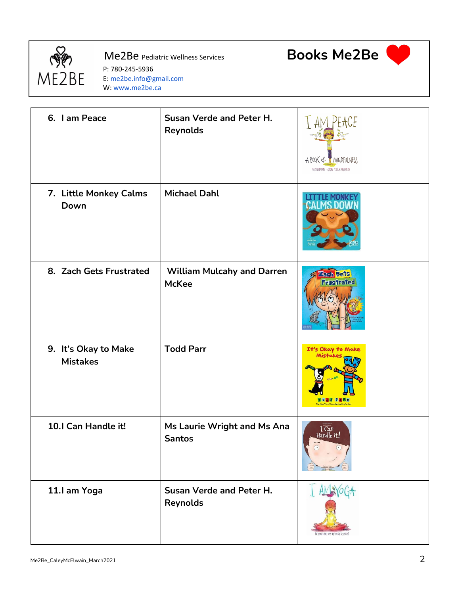

P: 780-245-5936 E: [me2be.info@gmail.com](mailto:me2be.info@gmail.com) W: [www.me2be.ca](http://www.me2be.ca/)





| 6. I am Peace                           | <b>Susan Verde and Peter H.</b><br>Reynolds       | A BOOK of TANNAPPULNESS<br>BY SUM VERX - ART BY PETER H. PEYMOLDS |
|-----------------------------------------|---------------------------------------------------|-------------------------------------------------------------------|
| 7. Little Monkey Calms<br>Down          | <b>Michael Dahl</b>                               |                                                                   |
| 8. Zach Gets Frustrated                 | <b>William Mulcahy and Darren</b><br><b>McKee</b> | Zarh dets<br><b>Frustrated</b>                                    |
| 9. It's Okay to Make<br><b>Mistakes</b> | <b>Todd Parr</b>                                  | It's Okay to Make<br>Mistake<br>TO dd Parr                        |
| 10.1 Can Handle it!                     | Ms Laurie Wright and Ms Ana<br><b>Santos</b>      | $\frac{1}{2}$ Handle it!                                          |
| 11.I am Yoga                            | <b>Susan Verde and Peter H.</b><br>Reynolds       | BY SHAV VERE - ART BY TETER & NEYWOLD!                            |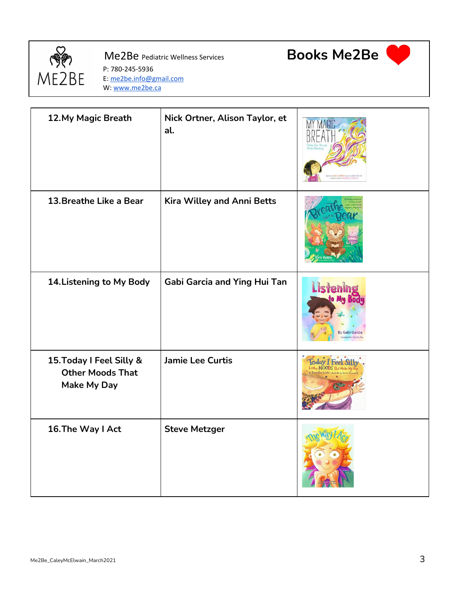

 $\Gamma$ 

P: 780-245-5936 E: [me2be.info@gmail.com](mailto:me2be.info@gmail.com) W: [www.me2be.ca](http://www.me2be.ca/)

T



T



| 12. My Magic Breath                                                       | Nick Ortner, Alison Taylor, et<br>al. |                                    |
|---------------------------------------------------------------------------|---------------------------------------|------------------------------------|
| 13. Breathe Like a Bear                                                   | Kira Willey and Anni Betts            |                                    |
| 14. Listening to My Body                                                  | <b>Gabi Garcia and Ying Hui Tan</b>   | <b>Listening</b><br>By Gabi Garcia |
| 15. Today I Feel Silly &<br><b>Other Moods That</b><br><b>Make My Day</b> | <b>Jamie Lee Curtis</b>               |                                    |
| 16. The Way I Act                                                         | <b>Steve Metzger</b>                  |                                    |